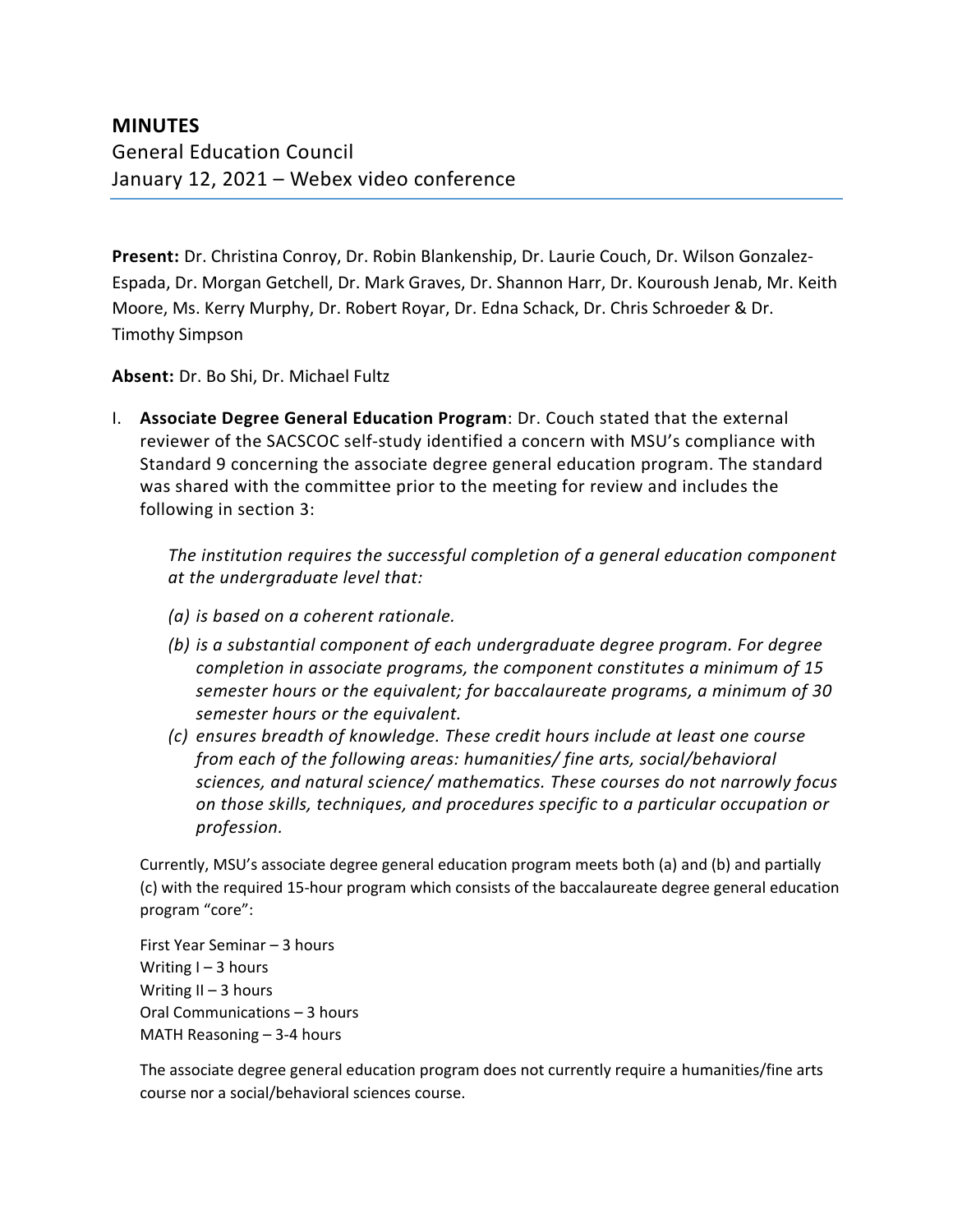## **MINUTES** General Education Council January 12, 2021 – Webex video conference

**Present:** Dr. Christina Conroy, Dr. Robin Blankenship, Dr. Laurie Couch, Dr. Wilson Gonzalez-Espada, Dr. Morgan Getchell, Dr. Mark Graves, Dr. Shannon Harr, Dr. Kouroush Jenab, Mr. Keith Moore, Ms. Kerry Murphy, Dr. Robert Royar, Dr. Edna Schack, Dr. Chris Schroeder & Dr. Timothy Simpson

**Absent:** Dr. Bo Shi, Dr. Michael Fultz

I. **Associate Degree General Education Program**: Dr. Couch stated that the external reviewer of the SACSCOC self-study identified a concern with MSU's compliance with Standard 9 concerning the associate degree general education program. The standard was shared with the committee prior to the meeting for review and includes the following in section 3:

*The institution requires the successful completion of a general education component at the undergraduate level that:* 

- *(a) is based on a coherent rationale.*
- *(b) is a substantial component of each undergraduate degree program. For degree completion in associate programs, the component constitutes a minimum of 15 semester hours or the equivalent; for baccalaureate programs, a minimum of 30 semester hours or the equivalent.*
- *(c) ensures breadth of knowledge. These credit hours include at least one course from each of the following areas: humanities/ fine arts, social/behavioral sciences, and natural science/ mathematics. These courses do not narrowly focus on those skills, techniques, and procedures specific to a particular occupation or profession.*

Currently, MSU's associate degree general education program meets both (a) and (b) and partially (c) with the required 15-hour program which consists of the baccalaureate degree general education program "core":

First Year Seminar – 3 hours Writing  $I - 3$  hours Writing  $II - 3$  hours Oral Communications – 3 hours MATH Reasoning – 3-4 hours

The associate degree general education program does not currently require a humanities/fine arts course nor a social/behavioral sciences course.